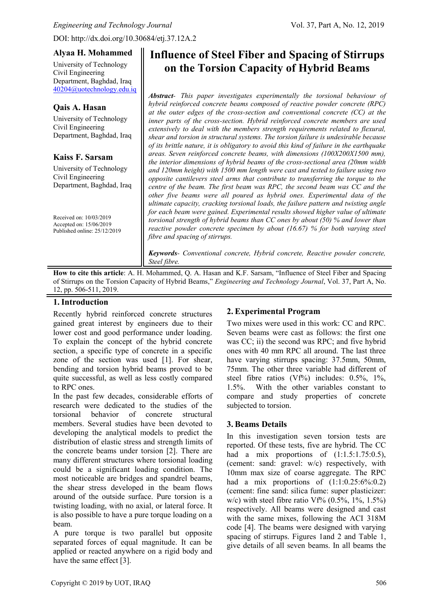DOI: http://dx.doi.org/10.30684/etj.37.12A.2

## **Alyaa H. Mohammed**

University of Technology Civil Engineering Department, Baghdad, Iraq [40204@uotechnology.edu.iq](mailto:40204@uotechnology.edu.iq)

## **Qais A. Hasan**

University of Technology Civil Engineering Department, Baghdad, Iraq

## **Kaiss F. Sarsam**

University of Technology Civil Engineering Department, Baghdad, Iraq

Received on: 10/03/2019 Accepted on: 15/06/2019 Published online: 25/12/2019

# **Influence of Steel Fiber and Spacing of Stirrups on the Torsion Capacity of Hybrid Beams**

*Abstract- This paper investigates experimentally the torsional behaviour of hybrid reinforced concrete beams composed of reactive powder concrete (RPC) at the outer edges of the cross-section and conventional concrete (CC) at the inner parts of the cross-section. Hybrid reinforced concrete members are used extensively to deal with the members strength requirements related to flexural, shear and torsion in structural systems. The torsion failure is undesirable because of its brittle nature, it is obligatory to avoid this kind of failure in the earthquake areas. Seven reinforced concrete beams, with dimensions (100X200X1500 mm), the interior dimensions of hybrid beams of the cross-sectional area (20mm width and 120mm height) with 1500 mm length were cast and tested to failure using two opposite cantilevers steel arms that contribute to transferring the torque to the centre of the beam. The first beam was RPC, the second beam was CC and the other five beams were all poured as hybrid ones. Experimental data of the ultimate capacity, cracking torsional loads, the failure pattern and twisting angle for each beam were gained. Experimental results showed higher value of ultimate torsional strength of hybrid beams than CC ones by about (50) % and lower than reactive powder concrete specimen by about (16.67) % for both varying steel fibre and spacing of stirrups.*

*Keywords- Conventional concrete, Hybrid concrete, Reactive powder concrete, Steel fibre.*

**How to cite this article**: A. H. Mohammed, Q. A. Hasan and K.F. Sarsam, "Influence of Steel Fiber and Spacing of Stirrups on the Torsion Capacity of Hybrid Beams," *Engineering and Technology Journal*, Vol. 37, Part A, No. 12, pp. 506-511, 2019.

# **1.Introduction**

Recently hybrid reinforced concrete structures gained great interest by engineers due to their lower cost and good performance under loading. To explain the concept of the hybrid concrete section, a specific type of concrete in a specific zone of the section was used [1]. For shear, bending and torsion hybrid beams proved to be quite successful, as well as less costly compared to RPC ones.

In the past few decades, considerable efforts of research were dedicated to the studies of the torsional behavior of concrete structural members. Several studies have been devoted to developing the analytical models to predict the distribution of elastic stress and strength limits of the concrete beams under torsion [2]. There are many different structures where torsional loading could be a significant loading condition. The most noticeable are bridges and spandrel beams, the shear stress developed in the beam flows around of the outside surface. Pure torsion is a twisting loading, with no axial, or lateral force. It is also possible to have a pure torque loading on a beam.

A pure torque is two parallel but opposite separated forces of equal magnitude. It can be applied or reacted anywhere on a rigid body and have the same effect [3].

# **2. Experimental Program**

Two mixes were used in this work: CC and RPC. Seven beams were cast as follows: the first one was CC; ii) the second was RPC; and five hybrid ones with 40 mm RPC all around. The last three have varying stirrups spacing: 37.5mm, 50mm, 75mm. The other three variable had different of steel fibre ratios  $(Vf\%)$  includes: 0.5%, 1%, 1.5%. With the other variables constant to compare and study properties of concrete subjected to torsion.

## **3. Beams Details**

In this investigation seven torsion tests are reported. Of these tests, five are hybrid. The CC had a mix proportions of  $(1:1.5:1.75:0.5)$ , (cement: sand: gravel: w/c) respectively, with 10mm max size of coarse aggregate. The RPC had a mix proportions of  $(1:1:0.25:6\%:0.2)$ (cement: fine sand: silica fume: super plasticizer: w/c) with steel fibre ratio Vf%  $(0.5\%, 1\%, 1.5\%)$ respectively. All beams were designed and cast with the same mixes, following the ACI 318M code [4]. The beams were designed with varying spacing of stirrups. Figures 1and 2 and Table 1, give details of all seven beams. In all beams the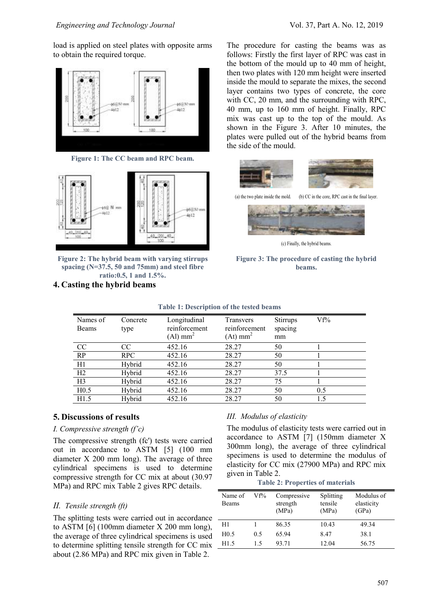load is applied on steel plates with opposite arms to obtain the required torque.



**Figure 1: The CC beam and RPC beam.**



**Figure 2: The hybrid beam with varying stirrups spacing (N=37.5, 50 and 75mm) and steel fibre ratio:0.5, 1 and 1.5%.**

**4. Casting the hybrid beams**

The procedure for casting the beams was as follows: Firstly the first layer of RPC was cast in the bottom of the mould up to 40 mm of height, then two plates with 120 mm height were inserted inside the mould to separate the mixes, the second layer contains two types of concrete, the core with CC, 20 mm, and the surrounding with RPC, 40 mm, up to 160 mm of height. Finally, RPC mix was cast up to the top of the mould. As shown in the Figure 3. After 10 minutes, the plates were pulled out of the hybrid beams from the side of the mould.





(c) Finally, the hybrid beams.

#### **Figure 3: The procedure of casting the hybrid beams.**

| Those It Description of the tested beams |                  |                                                         |                                                      |                                  |     |  |
|------------------------------------------|------------------|---------------------------------------------------------|------------------------------------------------------|----------------------------------|-----|--|
| Names of<br><b>Beams</b>                 | Concrete<br>type | Longitudinal<br>reinforcement<br>$(Al)$ mm <sup>2</sup> | Transvers<br>reinforcement<br>$(At)$ mm <sup>2</sup> | <b>Stirrups</b><br>spacing<br>mm | Vf% |  |
| CC                                       | CC               | 452.16                                                  | 28.27                                                | 50                               |     |  |
| RP                                       | RPC              | 452.16                                                  | 28.27                                                | 50                               |     |  |
| H1                                       | Hybrid           | 452.16                                                  | 28.27                                                | 50                               |     |  |
| H2                                       | Hybrid           | 452.16                                                  | 28.27                                                | 37.5                             |     |  |
| H <sub>3</sub>                           | Hybrid           | 452.16                                                  | 28.27                                                | 75                               |     |  |
| H <sub>0.5</sub>                         | Hybrid           | 452.16                                                  | 28.27                                                | 50                               | 0.5 |  |
| H1.5                                     | Hybrid           | 452.16                                                  | 28.27                                                | 50                               | 1.5 |  |
|                                          |                  |                                                         |                                                      |                                  |     |  |

#### **Table 1: Description of the tested beams**

## **5. Discussions of results**

#### *I. Compressive strength (f'c)*

The compressive strength (fc') tests were carried out in accordance to ASTM [5] (100 mm diameter X 200 mm long). The average of three cylindrical specimens is used to determine compressive strength for CC mix at about (30.97 MPa) and RPC mix Table 2 gives RPC details.

## *II. Tensile strength (ft)*

The splitting tests were carried out in accordance – to ASTM [6] (100mm diameter X 200 mm long), the average of three cylindrical specimens is used to determine splitting tensile strength for CC mix about (2.86 MPa) and RPC mix given in Table 2.

## *III. Modulus of elasticity*

The modulus of elasticity tests were carried out in accordance to ASTM [7] (150mm diameter X 300mm long), the average of three cylindrical specimens is used to determine the modulus of elasticity for CC mix (27900 MPa) and RPC mix given in Table 2.

**Table 2: Properties of materials**

| Name of<br><b>Beams</b> | Vf% | Compressive<br>strength<br>(MPa) | Splitting<br>tensile<br>(MPa) | Modulus of<br>elasticity<br>(GPa) |
|-------------------------|-----|----------------------------------|-------------------------------|-----------------------------------|
| H1                      |     | 86.35                            | 10.43                         | 49.34                             |
| H <sub>0.5</sub>        | 0.5 | 6594                             | 8.47                          | 38.1                              |
| H1.5                    | 15  | 93.71                            | 12.04                         | 56.75                             |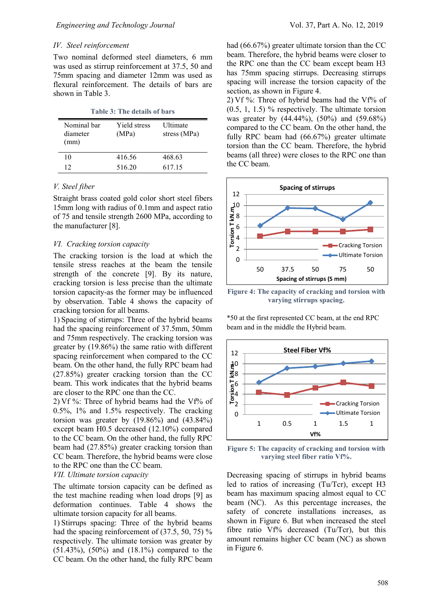#### *IV. Steel reinforcement*

Two nominal deformed steel diameters, 6 mm was used as stirrup reinforcement at 37.5, 50 and 75mm spacing and diameter 12mm was used as flexural reinforcement. The details of bars are shown in Table 3.

**Table 3: The details of bars**

| Nominal bar<br>diameter<br>(mm) | Yield stress<br>(MPa) | Ultimate<br>stress (MPa) |
|---------------------------------|-----------------------|--------------------------|
| 10                              | 416.56                | 468.63                   |
| 12                              | 516.20                | 617.15                   |

#### *V. Steel fiber*

Straight brass coated gold color short steel fibers 15mm long with radius of 0.1mm and aspect ratio of 75 and tensile strength 2600 MPa, according to the manufacturer [8].

#### *VI. Cracking torsion capacity*

The cracking torsion is the load at which the tensile stress reaches at the beam the tensile strength of the concrete [9]. By its nature, cracking torsion is less precise than the ultimate torsion capacity-as the former may be influenced by observation. Table 4 shows the capacity of cracking torsion for all beams.

1) Spacing of stirrups: Three of the hybrid beams had the spacing reinforcement of 37.5mm, 50mm and 75mm respectively. The cracking torsion was greater by (19.86%) the same ratio with different spacing reinforcement when compared to the CC beam. On the other hand, the fully RPC beam had (27.85%) greater cracking torsion than the CC beam. This work indicates that the hybrid beams are closer to the RPC one than the CC.

2) Vf %: Three of hybrid beams had the Vf% of 0.5%, 1% and 1.5% respectively. The cracking torsion was greater by  $(19.86\%)$  and  $(43.84\%)$ except beam H0.5 decreased (12.10%) compared to the CC beam. On the other hand, the fully RPC beam had (27.85%) greater cracking torsion than CC beam. Therefore, the hybrid beams were close to the RPC one than the CC beam.

#### *VII. Ultimate torsion capacity*

The ultimate torsion capacity can be defined as the test machine reading when load drops [9] as deformation continues. Table 4 shows the ultimate torsion capacity for all beams.

1) Stirrups spacing: Three of the hybrid beams had the spacing reinforcement of (37.5, 50, 75) % respectively. The ultimate torsion was greater by (51.43%), (50%) and (18.1%) compared to the CC beam. On the other hand, the fully RPC beam had (66.67%) greater ultimate torsion than the CC beam. Therefore, the hybrid beams were closer to the RPC one than the CC beam except beam H3 has 75mm spacing stirrups. Decreasing stirrups spacing will increase the torsion capacity of the section, as shown in Figure 4.

2) Vf  $\%$ : Three of hybrid beams had the Vf $\%$  of (0.5, 1, 1.5) % respectively. The ultimate torsion was greater by (44.44%), (50%) and (59.68%) compared to the CC beam. On the other hand, the fully RPC beam had (66.67%) greater ultimate torsion than the CC beam. Therefore, the hybrid beams (all three) were closes to the RPC one than the CC beam.



**Figure 4: The capacity of cracking and torsion with varying stirrups spacing.**

\*50 at the first represented CC beam, at the end RPC beam and in the middle the Hybrid beam.



**Figure 5: The capacity of cracking and torsion with varying steel fiber ratio Vf%.**

Decreasing spacing of stirrups in hybrid beams led to ratios of increasing (Tu/Tcr), except H3 beam has maximum spacing almost equal to CC beam (NC). As this percentage increases, the safety of concrete installations increases, as shown in Figure 6. But when increased the steel fibre ratio Vf% decreased (Tu/Tcr), but this amount remains higher CC beam (NC) as shown in Figure 6.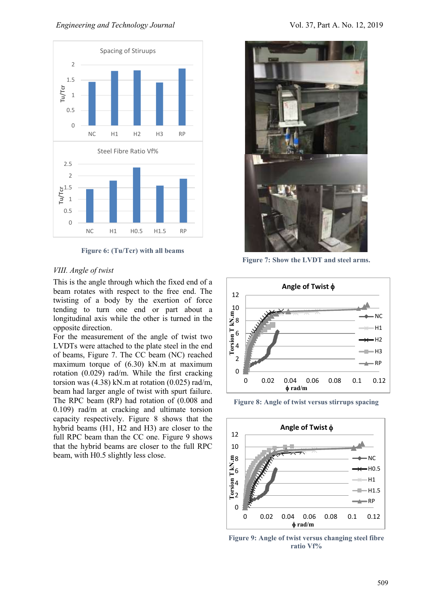#### *Engineering and Technology Journal* **Vol. 37, Part A. No. 12, 2019**



**Figure 6: (Tu/Tcr) with all beams**

#### *VIII. Angle of twist*

This is the angle through which the fixed end of a beam rotates with respect to the free end. The twisting of a body by the exertion of force tending to turn one end or part about a longitudinal axis while the other is turned in the opposite direction.

For the measurement of the angle of twist two LVDTs were attached to the plate steel in the end of beams, Figure 7. The CC beam (NC) reached maximum torque of (6.30) kN.m at maximum rotation (0.029) rad/m. While the first cracking torsion was  $(4.38)$  kN.m at rotation  $(0.025)$  rad/m, beam had larger angle of twist with spurt failure. The RPC beam (RP) had rotation of (0.008 and 0.109) rad/m at cracking and ultimate torsion capacity respectively. Figure 8 shows that the hybrid beams (H1, H2 and H3) are closer to the full RPC beam than the CC one. Figure 9 shows that the hybrid beams are closer to the full RPC beam, with H0.5 slightly less close.



**Figure 7: Show the LVDT and steel arms.**



**Figure 8: Angle of twist versus stirrups spacing**



**Figure 9: Angle of twist versus changing steel fibre ratio Vf%**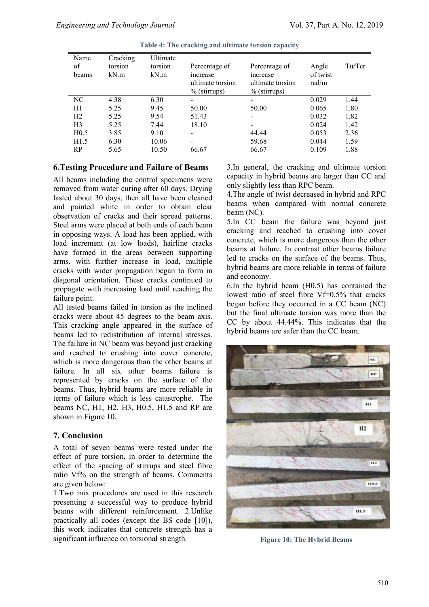| Name<br>of<br>beams | Cracking<br>torsion<br>kN.m | Ultimate<br>torsion<br>kN.m | Percentage of<br>increase<br>ultimate torsion<br>$%$ (stirrups) | Percentage of<br>increase<br>ultimate torsion<br>$%$ (stirrups) | Angle<br>of twist<br>rad/m | Tu/Tcr |
|---------------------|-----------------------------|-----------------------------|-----------------------------------------------------------------|-----------------------------------------------------------------|----------------------------|--------|
| NC                  | 4.38                        | 6.30                        |                                                                 |                                                                 | 0.029                      | 1.44   |
| H1                  | 5.25                        | 9.45                        | 50.00                                                           | 50.00                                                           | 0.065                      | 1.80   |
| H2                  | 5.25                        | 9.54                        | 51.43                                                           |                                                                 | 0.032                      | 1.82   |
| H <sub>3</sub>      | 5.25                        | 7.44                        | 18.10                                                           |                                                                 | 0.024                      | 1.42   |
| H <sub>0.5</sub>    | 3.85                        | 9.10                        |                                                                 | 44.44                                                           | 0.053                      | 2.36   |
| H1.5                | 6.30                        | 10.06                       | $\overline{\phantom{a}}$                                        | 59.68                                                           | 0.044                      | 1.59   |
| RP                  | 5.65                        | 10.50                       | 66.67                                                           | 66.67                                                           | 0.109                      | 1.88   |

**Table 4: The cracking and ultimate torsion capacity**

#### **6.Testing Procedure and Failure of Beams**

All beams including the control specimens were removed from water curing after 60 days. Drying lasted about 30 days, then all have been cleaned and painted white in order to obtain clear observation of cracks and their spread patterns. Steel arms were placed at both ends of each beam in opposing ways. A load has been applied. with load increment (at low loads), hairline cracks have formed in the areas between supporting arms. with further increase in load, multiple cracks with wider propagation began to form in diagonal orientation. These cracks continued to propagate with increasing load until reaching the failure point.

All tested beams failed in torsion as the inclined cracks were about 45 degrees to the beam axis. This cracking angle appeared in the surface of beams led to redistribution of internal stresses. The failure in NC beam was beyond just cracking and reached to crushing into cover concrete, which is more dangerous than the other beams at failure. In all six other beams failure is represented by cracks on the surface of the beams. Thus, hybrid beams are more reliable in terms of failure which is less catastrophe. The beams NC, H1, H2, H3, H0.5, H1.5 and RP are shown in Figure 10.

# **7. Conclusion**

A total of seven beams were tested under the effect of pure torsion, in order to determine the effect of the spacing of stirrups and steel fibre ratio Vf% on the strength of beams. Comments are given below:

1.Two mix procedures are used in this research presenting a successful way to produce hybrid beams with different reinforcement. 2.Unlike practically all codes (except the BS code [10]), this work indicates that concrete strength has a significant influence on torsional strength.

3.In general, the cracking and ultimate torsion capacity in hybrid beams are larger than CC and only slightly less than RPC beam.

4.The angle of twist decreased in hybrid and RPC beams when compared with normal concrete beam (NC).

5.In CC beam the failure was beyond just cracking and reached to crushing into cover concrete, which is more dangerous than the other beams at failure. In contrast other beams failure led to cracks on the surface of the beams. Thus, hybrid beams are more reliable in terms of failure and economy.

6.In the hybrid beam (H0.5) has contained the lowest ratio of steel fibre Vf=0.5% that cracks began before they occurred in a CC beam (NC) but the final ultimate torsion was more than the CC by about 44.44%. This indicates that the hybrid beams are safer than the CC beam.



**Figure 10: The Hybrid Beams**